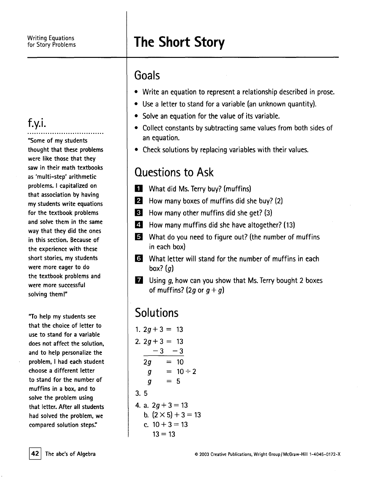## for Story Problems **The Short Story**

#### Goals

- . Write an equation to represent <sup>a</sup> relationship described in prose.
- . Use <sup>a</sup> letter to stand for <sup>a</sup> variable (an unknown quantity).
- . Solve an equation for the value of its variable.
- . Collect constants by subtracting same values from both sides of an equation.
- . Check solutions by replacing variables with their values.

### Questions to Ask

- **1** What did Ms. Terry buy? (muffin
- **12** How many boxes of muffins did she buy? (2)
- IJ How many other muffins did she get? (3)
- $|4|$ How many muffins did she have altogether? (13)
- 5 What do you need to figure out? (the number of muffir in each box)
- II What letter will stand for the number of muffins in each box?  $(q)$
- $\overline{z}$  Using  $g$ , how can you show that Ms. Terry bought 2 boxes of muffins? (2q or  $q + q$ )

## **Solutions**

1.  $2q + 3 = 13$ 2.  $2q + 3 = 13$  $-3 -3$  $2q = 10$  $q = 10 \div 2$  $q = 5$ 3.5 4. a.  $2q + 3 = 13$ b.  $(2 \times 5) + 3 = 13$ c.  $10 + 3 = 13$  $13 = 13$ 

## f.y.i.

.................................. "Some of my students thought that these problems were like those that they saw in their math textbooks as 'multi-step' arithmetic problems. I capitalized on that association by having my students write equations for the textbook problems and solve them in the same way that they did the ones in this section. Because of the experience with these short stories. my students were more eager to do the textbook problems and were more successful solving them!"

"To help my students see that the choice of letter to use to stand for a variable does not affect the solution. and to help personalize the problem. I had each student choose a different letter to stand for the number of muffins in a box. and to solve the problem using that letter. After all students had solved the problem. we compared solution steps:'